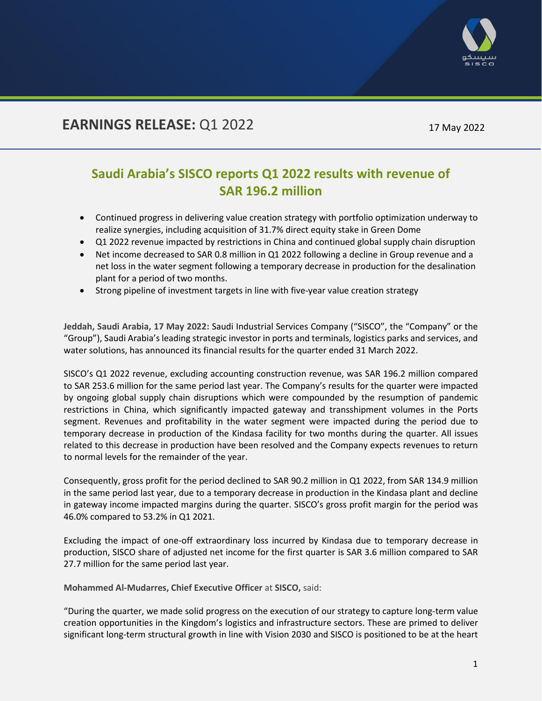

# **EARNINGS RELEASE: Q1 2022** 17 May 2022

# **Saudi Arabia's SISCO reports Q1 2022 results with revenue of SAR 196.2 million**

- Continued progress in delivering value creation strategy with portfolio optimization underway to realize synergies, including acquisition of 31.7% direct equity stake in Green Dome
- Q1 2022 revenue impacted by restrictions in China and continued global supply chain disruption
- Net income decreased to SAR 0.8 million in Q1 2022 following a decline in Group revenue and a net loss in the water segment following a temporary decrease in production for the desalination plant for a period of two months.
- Strong pipeline of investment targets in line with five-year value creation strategy

**Jeddah, Saudi Arabia, 17 May 2022:** Saudi Industrial Services Company ("SISCO", the "Company" or the "Group"), Saudi Arabia's leading strategic investor in ports and terminals, logistics parks and services, and water solutions, has announced its financial results for the quarter ended 31 March 2022.

SISCO's Q1 2022 revenue, excluding accounting construction revenue, was SAR 196.2 million compared to SAR 253.6 million for the same period last year. The Company's results for the quarter were impacted by ongoing global supply chain disruptions which were compounded by the resumption of pandemic restrictions in China, which significantly impacted gateway and transshipment volumes in the Ports segment. Revenues and profitability in the water segment were impacted during the period due to temporary decrease in production of the Kindasa facility for two months during the quarter. All issues related to this decrease in production have been resolved and the Company expects revenues to return to normal levels for the remainder of the year.

Consequently, gross profit for the period declined to SAR 90.2 million in Q1 2022, from SAR 134.9 million in the same period last year, due to a temporary decrease in production in the Kindasa plant and decline in gateway income impacted margins during the quarter. SISCO's gross profit margin for the period was 46.0% compared to 53.2% in Q1 2021.

Excluding the impact of one-off extraordinary loss incurred by Kindasa due to temporary decrease in production, SISCO share of adjusted net income for the first quarter is SAR 3.6 million compared to SAR 27.7 million for the same period last year.

**Mohammed Al-Mudarres, Chief Executive Officer** at **SISCO,** said:

"During the quarter, we made solid progress on the execution of our strategy to capture long-term value creation opportunities in the Kingdom's logistics and infrastructure sectors. These are primed to deliver significant long-term structural growth in line with Vision 2030 and SISCO is positioned to be at the heart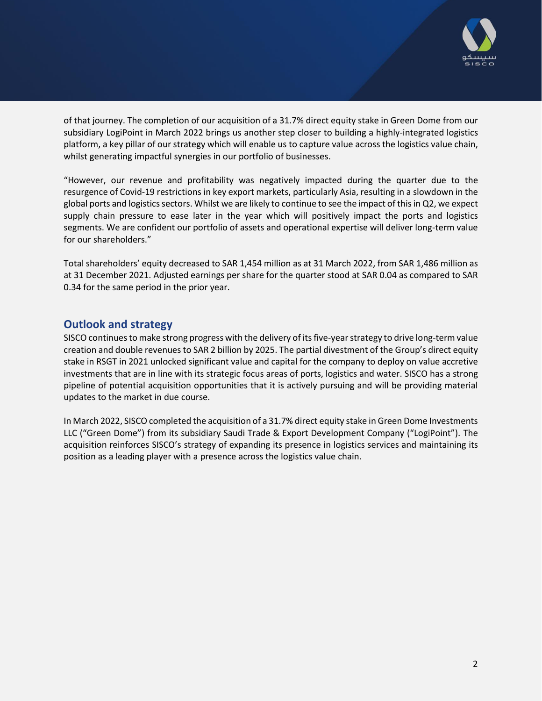

of that journey. The completion of our acquisition of a 31.7% direct equity stake in Green Dome from our subsidiary LogiPoint in March 2022 brings us another step closer to building a highly-integrated logistics platform, a key pillar of our strategy which will enable us to capture value across the logistics value chain, whilst generating impactful synergies in our portfolio of businesses.

"However, our revenue and profitability was negatively impacted during the quarter due to the resurgence of Covid-19 restrictions in key export markets, particularly Asia, resulting in a slowdown in the global ports and logistics sectors. Whilst we are likely to continue to see the impact of this in Q2, we expect supply chain pressure to ease later in the year which will positively impact the ports and logistics segments. We are confident our portfolio of assets and operational expertise will deliver long-term value for our shareholders."

Total shareholders' equity decreased to SAR 1,454 million as at 31 March 2022, from SAR 1,486 million as at 31 December 2021. Adjusted earnings per share for the quarter stood at SAR 0.04 as compared to SAR 0.34 for the same period in the prior year.

#### **Outlook and strategy**

SISCO continues to make strong progress with the delivery of its five-year strategy to drive long-term value creation and double revenues to SAR 2 billion by 2025. The partial divestment of the Group's direct equity stake in RSGT in 2021 unlocked significant value and capital for the company to deploy on value accretive investments that are in line with its strategic focus areas of ports, logistics and water. SISCO has a strong pipeline of potential acquisition opportunities that it is actively pursuing and will be providing material updates to the market in due course.

In March 2022, SISCO completed the acquisition of a 31.7% direct equity stake in Green Dome Investments LLC ("Green Dome") from its subsidiary Saudi Trade & Export Development Company ("LogiPoint"). The acquisition reinforces SISCO's strategy of expanding its presence in logistics services and maintaining its position as a leading player with a presence across the logistics value chain.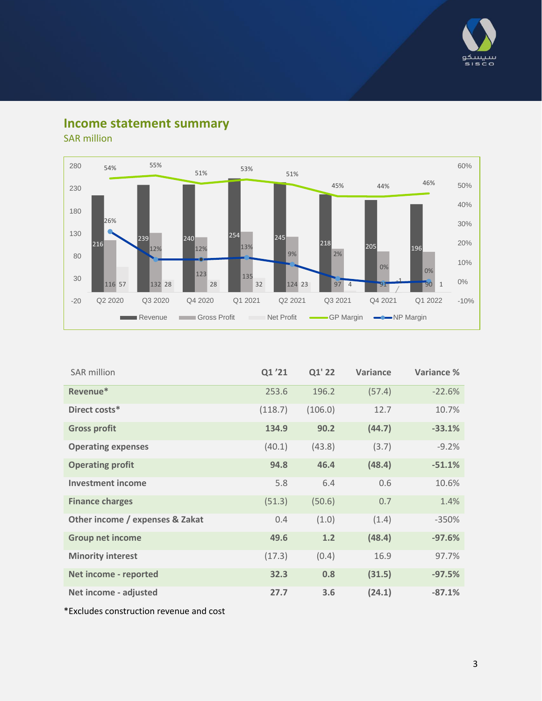

## **Income statement summary**

SAR million



| SAR million                     | Q1'21   | Q1' 22  | Variance | Variance % |
|---------------------------------|---------|---------|----------|------------|
| Revenue*                        | 253.6   | 196.2   | (57.4)   | $-22.6%$   |
| Direct costs*                   | (118.7) | (106.0) | 12.7     | 10.7%      |
| <b>Gross profit</b>             | 134.9   | 90.2    | (44.7)   | $-33.1%$   |
| <b>Operating expenses</b>       | (40.1)  | (43.8)  | (3.7)    | $-9.2%$    |
| <b>Operating profit</b>         | 94.8    | 46.4    | (48.4)   | $-51.1%$   |
| <b>Investment income</b>        | 5.8     | 6.4     | 0.6      | 10.6%      |
| <b>Finance charges</b>          | (51.3)  | (50.6)  | 0.7      | 1.4%       |
| Other income / expenses & Zakat | 0.4     | (1.0)   | (1.4)    | $-350%$    |
| <b>Group net income</b>         | 49.6    | 1.2     | (48.4)   | $-97.6%$   |
| <b>Minority interest</b>        | (17.3)  | (0.4)   | 16.9     | 97.7%      |
| Net income - reported           | 32.3    | 0.8     | (31.5)   | $-97.5%$   |
| Net income - adjusted           | 27.7    | 3.6     | (24.1)   | $-87.1%$   |

\*Excludes construction revenue and cost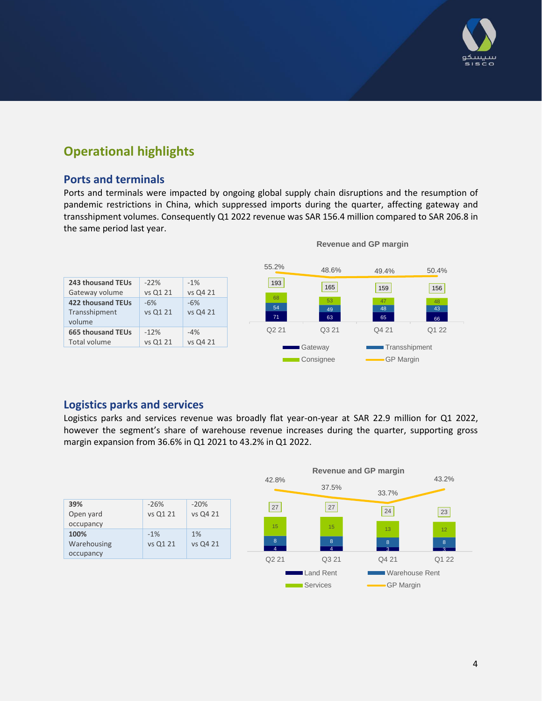

## **Operational highlights**

#### **Ports and terminals**

Ports and terminals were impacted by ongoing global supply chain disruptions and the resumption of pandemic restrictions in China, which suppressed imports during the quarter, affecting gateway and transshipment volumes. Consequently Q1 2022 revenue was SAR 156.4 million compared to SAR 206.8 in the same period last year.



#### **Revenue and GP margin**

### **Logistics parks and services**

Logistics parks and services revenue was broadly flat year-on-year at SAR 22.9 million for Q1 2022, however the segment's share of warehouse revenue increases during the quarter, supporting gross margin expansion from 36.6% in Q1 2021 to 43.2% in Q1 2022.